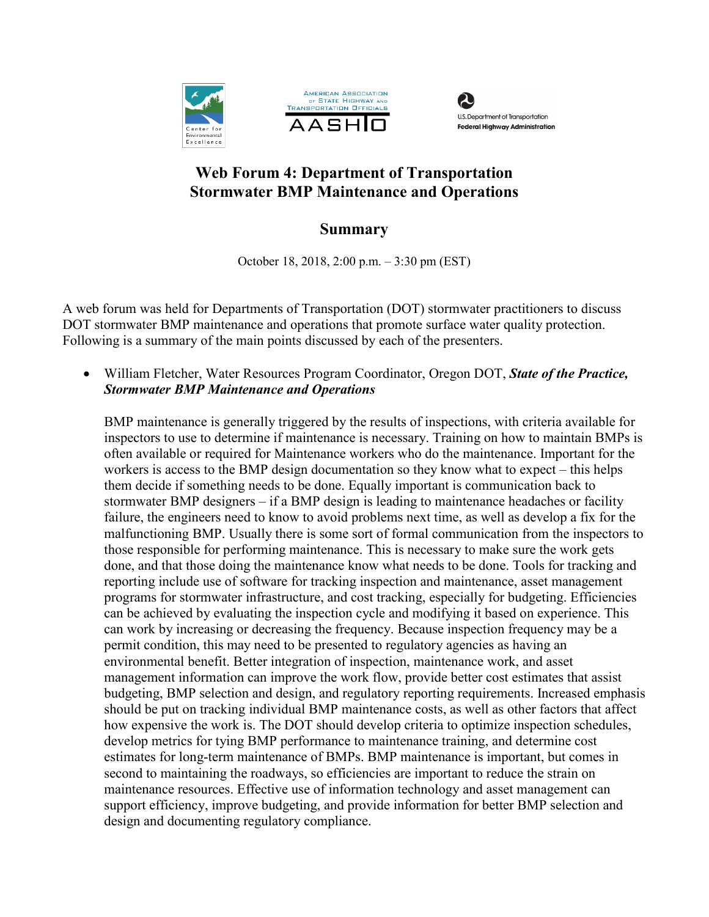





# **Web Forum 4: Department of Transportation Stormwater BMP Maintenance and Operations**

## **Summary**

October 18, 2018, 2:00 p.m. – 3:30 pm (EST)

A web forum was held for Departments of Transportation (DOT) stormwater practitioners to discuss DOT stormwater BMP maintenance and operations that promote surface water quality protection. Following is a summary of the main points discussed by each of the presenters.

• William Fletcher, Water Resources Program Coordinator, Oregon DOT, *State of the Practice, Stormwater BMP Maintenance and Operations*

BMP maintenance is generally triggered by the results of inspections, with criteria available for inspectors to use to determine if maintenance is necessary. Training on how to maintain BMPs is often available or required for Maintenance workers who do the maintenance. Important for the workers is access to the BMP design documentation so they know what to expect – this helps them decide if something needs to be done. Equally important is communication back to stormwater BMP designers – if a BMP design is leading to maintenance headaches or facility failure, the engineers need to know to avoid problems next time, as well as develop a fix for the malfunctioning BMP. Usually there is some sort of formal communication from the inspectors to those responsible for performing maintenance. This is necessary to make sure the work gets done, and that those doing the maintenance know what needs to be done. Tools for tracking and reporting include use of software for tracking inspection and maintenance, asset management programs for stormwater infrastructure, and cost tracking, especially for budgeting. Efficiencies can be achieved by evaluating the inspection cycle and modifying it based on experience. This can work by increasing or decreasing the frequency. Because inspection frequency may be a permit condition, this may need to be presented to regulatory agencies as having an environmental benefit. Better integration of inspection, maintenance work, and asset management information can improve the work flow, provide better cost estimates that assist budgeting, BMP selection and design, and regulatory reporting requirements. Increased emphasis should be put on tracking individual BMP maintenance costs, as well as other factors that affect how expensive the work is. The DOT should develop criteria to optimize inspection schedules, develop metrics for tying BMP performance to maintenance training, and determine cost estimates for long-term maintenance of BMPs. BMP maintenance is important, but comes in second to maintaining the roadways, so efficiencies are important to reduce the strain on maintenance resources. Effective use of information technology and asset management can support efficiency, improve budgeting, and provide information for better BMP selection and design and documenting regulatory compliance.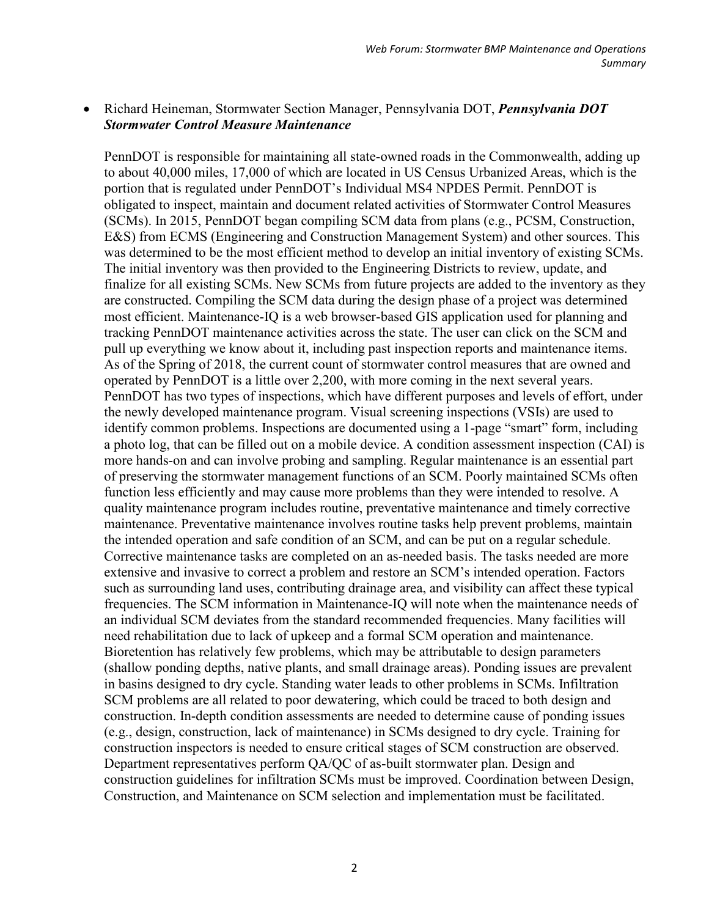### • Richard Heineman, Stormwater Section Manager, Pennsylvania DOT, *Pennsylvania DOT Stormwater Control Measure Maintenance*

PennDOT is responsible for maintaining all state-owned roads in the Commonwealth, adding up to about 40,000 miles, 17,000 of which are located in US Census Urbanized Areas, which is the portion that is regulated under PennDOT's Individual MS4 NPDES Permit. PennDOT is obligated to inspect, maintain and document related activities of Stormwater Control Measures (SCMs). In 2015, PennDOT began compiling SCM data from plans (e.g., PCSM, Construction, E&S) from ECMS (Engineering and Construction Management System) and other sources. This was determined to be the most efficient method to develop an initial inventory of existing SCMs. The initial inventory was then provided to the Engineering Districts to review, update, and finalize for all existing SCMs. New SCMs from future projects are added to the inventory as they are constructed. Compiling the SCM data during the design phase of a project was determined most efficient. Maintenance-IQ is a web browser-based GIS application used for planning and tracking PennDOT maintenance activities across the state. The user can click on the SCM and pull up everything we know about it, including past inspection reports and maintenance items. As of the Spring of 2018, the current count of stormwater control measures that are owned and operated by PennDOT is a little over 2,200, with more coming in the next several years. PennDOT has two types of inspections, which have different purposes and levels of effort, under the newly developed maintenance program. Visual screening inspections (VSIs) are used to identify common problems. Inspections are documented using a 1-page "smart" form, including a photo log, that can be filled out on a mobile device. A condition assessment inspection (CAI) is more hands-on and can involve probing and sampling. Regular maintenance is an essential part of preserving the stormwater management functions of an SCM. Poorly maintained SCMs often function less efficiently and may cause more problems than they were intended to resolve. A quality maintenance program includes routine, preventative maintenance and timely corrective maintenance. Preventative maintenance involves routine tasks help prevent problems, maintain the intended operation and safe condition of an SCM, and can be put on a regular schedule. Corrective maintenance tasks are completed on an as-needed basis. The tasks needed are more extensive and invasive to correct a problem and restore an SCM's intended operation. Factors such as surrounding land uses, contributing drainage area, and visibility can affect these typical frequencies. The SCM information in Maintenance-IQ will note when the maintenance needs of an individual SCM deviates from the standard recommended frequencies. Many facilities will need rehabilitation due to lack of upkeep and a formal SCM operation and maintenance. Bioretention has relatively few problems, which may be attributable to design parameters (shallow ponding depths, native plants, and small drainage areas). Ponding issues are prevalent in basins designed to dry cycle. Standing water leads to other problems in SCMs. Infiltration SCM problems are all related to poor dewatering, which could be traced to both design and construction. In-depth condition assessments are needed to determine cause of ponding issues (e.g., design, construction, lack of maintenance) in SCMs designed to dry cycle. Training for construction inspectors is needed to ensure critical stages of SCM construction are observed. Department representatives perform QA/QC of as-built stormwater plan. Design and construction guidelines for infiltration SCMs must be improved. Coordination between Design, Construction, and Maintenance on SCM selection and implementation must be facilitated.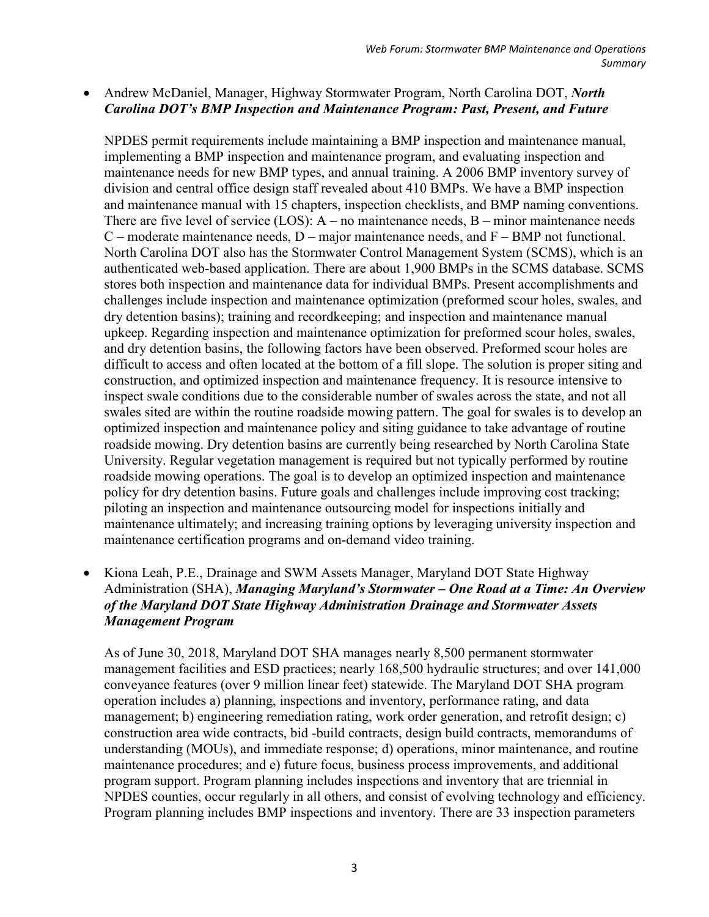### • Andrew McDaniel, Manager, Highway Stormwater Program, North Carolina DOT, *North Carolina DOT's BMP Inspection and Maintenance Program: Past, Present, and Future*

NPDES permit requirements include maintaining a BMP inspection and maintenance manual, implementing a BMP inspection and maintenance program, and evaluating inspection and maintenance needs for new BMP types, and annual training. A 2006 BMP inventory survey of division and central office design staff revealed about 410 BMPs. We have a BMP inspection and maintenance manual with 15 chapters, inspection checklists, and BMP naming conventions. There are five level of service (LOS):  $A$  – no maintenance needs,  $B$  – minor maintenance needs  $C$  – moderate maintenance needs,  $D$  – major maintenance needs, and  $F$  – BMP not functional. North Carolina DOT also has the Stormwater Control Management System (SCMS), which is an authenticated web-based application. There are about 1,900 BMPs in the SCMS database. SCMS stores both inspection and maintenance data for individual BMPs. Present accomplishments and challenges include inspection and maintenance optimization (preformed scour holes, swales, and dry detention basins); training and recordkeeping; and inspection and maintenance manual upkeep. Regarding inspection and maintenance optimization for preformed scour holes, swales, and dry detention basins, the following factors have been observed. Preformed scour holes are difficult to access and often located at the bottom of a fill slope. The solution is proper siting and construction, and optimized inspection and maintenance frequency. It is resource intensive to inspect swale conditions due to the considerable number of swales across the state, and not all swales sited are within the routine roadside mowing pattern. The goal for swales is to develop an optimized inspection and maintenance policy and siting guidance to take advantage of routine roadside mowing. Dry detention basins are currently being researched by North Carolina State University. Regular vegetation management is required but not typically performed by routine roadside mowing operations. The goal is to develop an optimized inspection and maintenance policy for dry detention basins. Future goals and challenges include improving cost tracking; piloting an inspection and maintenance outsourcing model for inspections initially and maintenance ultimately; and increasing training options by leveraging university inspection and maintenance certification programs and on-demand video training.

• Kiona Leah, P.E., Drainage and SWM Assets Manager, Maryland DOT State Highway Administration (SHA), *Managing Maryland's Stormwater – One Road at a Time: An Overview of the Maryland DOT State Highway Administration Drainage and Stormwater Assets Management Program*

As of June 30, 2018, Maryland DOT SHA manages nearly 8,500 permanent stormwater management facilities and ESD practices; nearly 168,500 hydraulic structures; and over 141,000 conveyance features (over 9 million linear feet) statewide. The Maryland DOT SHA program operation includes a) planning, inspections and inventory, performance rating, and data management; b) engineering remediation rating, work order generation, and retrofit design; c) construction area wide contracts, bid -build contracts, design build contracts, memorandums of understanding (MOUs), and immediate response; d) operations, minor maintenance, and routine maintenance procedures; and e) future focus, business process improvements, and additional program support. Program planning includes inspections and inventory that are triennial in NPDES counties, occur regularly in all others, and consist of evolving technology and efficiency. Program planning includes BMP inspections and inventory. There are 33 inspection parameters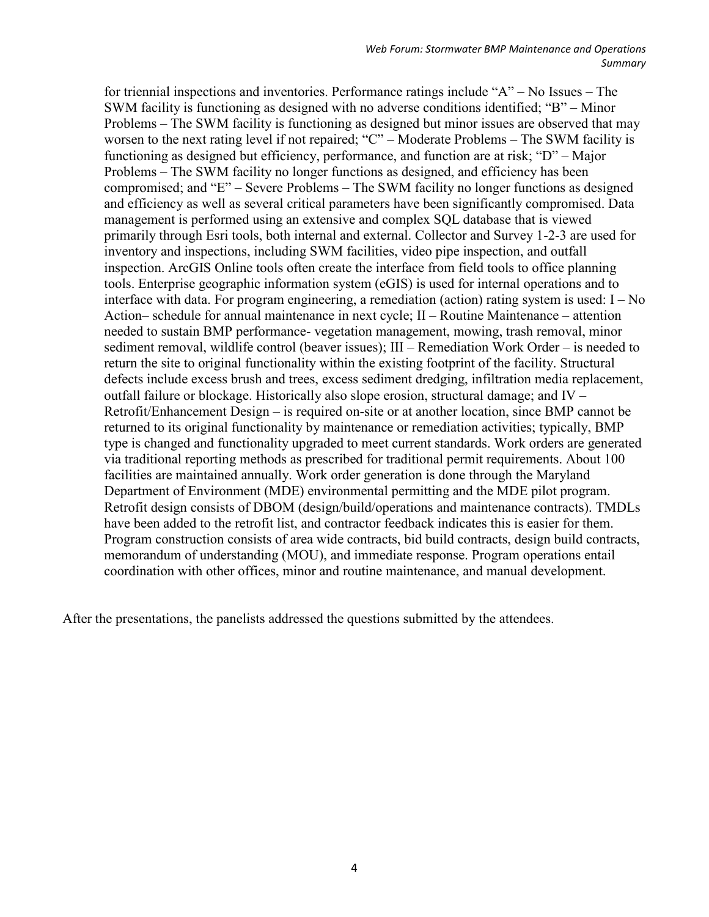for triennial inspections and inventories. Performance ratings include "A" – No Issues – The SWM facility is functioning as designed with no adverse conditions identified; "B" – Minor Problems – The SWM facility is functioning as designed but minor issues are observed that may worsen to the next rating level if not repaired; "C" – Moderate Problems – The SWM facility is functioning as designed but efficiency, performance, and function are at risk; "D" – Major Problems – The SWM facility no longer functions as designed, and efficiency has been compromised; and "E" – Severe Problems – The SWM facility no longer functions as designed and efficiency as well as several critical parameters have been significantly compromised. Data management is performed using an extensive and complex SQL database that is viewed primarily through Esri tools, both internal and external. Collector and Survey 1-2-3 are used for inventory and inspections, including SWM facilities, video pipe inspection, and outfall inspection. ArcGIS Online tools often create the interface from field tools to office planning tools. Enterprise geographic information system (eGIS) is used for internal operations and to interface with data. For program engineering, a remediation (action) rating system is used: I – No Action– schedule for annual maintenance in next cycle; II – Routine Maintenance – attention needed to sustain BMP performance- vegetation management, mowing, trash removal, minor sediment removal, wildlife control (beaver issues); III – Remediation Work Order – is needed to return the site to original functionality within the existing footprint of the facility. Structural defects include excess brush and trees, excess sediment dredging, infiltration media replacement, outfall failure or blockage. Historically also slope erosion, structural damage; and IV – Retrofit/Enhancement Design – is required on-site or at another location, since BMP cannot be returned to its original functionality by maintenance or remediation activities; typically, BMP type is changed and functionality upgraded to meet current standards. Work orders are generated via traditional reporting methods as prescribed for traditional permit requirements. About 100 facilities are maintained annually. Work order generation is done through the Maryland Department of Environment (MDE) environmental permitting and the MDE pilot program. Retrofit design consists of DBOM (design/build/operations and maintenance contracts). TMDLs have been added to the retrofit list, and contractor feedback indicates this is easier for them. Program construction consists of area wide contracts, bid build contracts, design build contracts, memorandum of understanding (MOU), and immediate response. Program operations entail coordination with other offices, minor and routine maintenance, and manual development.

After the presentations, the panelists addressed the questions submitted by the attendees.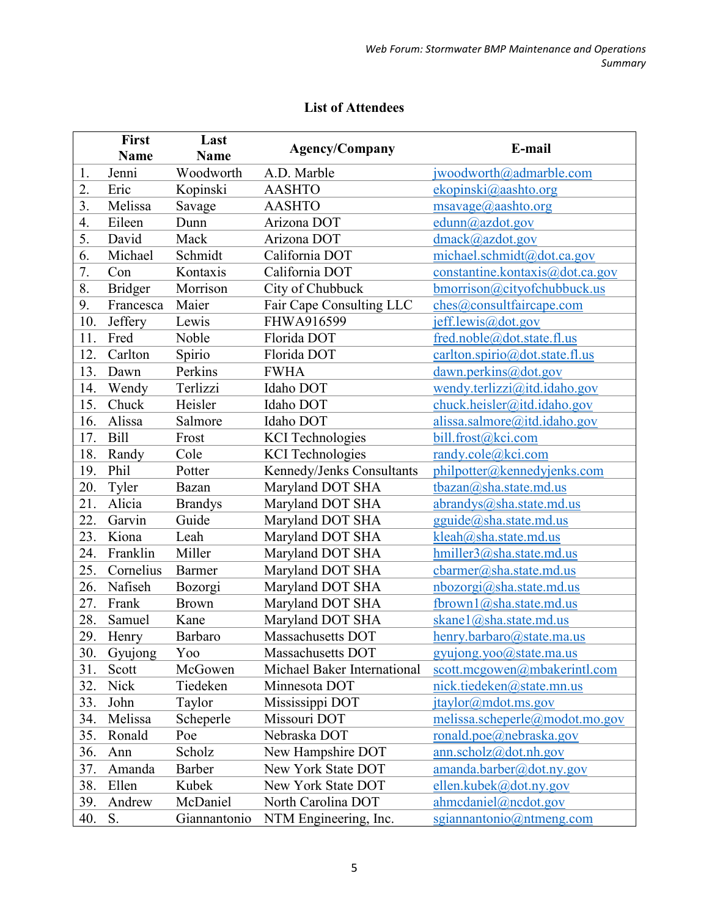|     | <b>First</b>   | Last           | <b>Agency/Company</b>       | E-mail                          |
|-----|----------------|----------------|-----------------------------|---------------------------------|
|     | <b>Name</b>    | <b>Name</b>    |                             |                                 |
| 1.  | Jenni          | Woodworth      | A.D. Marble                 | jwoodworth@admarble.com         |
| 2.  | Eric           | Kopinski       | <b>AASHTO</b>               | ekopinski@aashto.org            |
| 3.  | Melissa        | Savage         | <b>AASHTO</b>               | $msavage(a)$ aashto.org         |
| 4.  | Eileen         | Dunn           | Arizona DOT                 | edunn@azdot.gov                 |
| 5.  | David          | Mack           | Arizona DOT                 | dmack@azdot.gov                 |
| 6.  | Michael        | Schmidt        | California DOT              | michael.schmidt@dot.ca.gov      |
| 7.  | Con            | Kontaxis       | California DOT              | constantine.kontaxis@dot.ca.gov |
| 8.  | <b>Bridger</b> | Morrison       | City of Chubbuck            | bmorrison@cityofchubbuck.us     |
| 9.  | Francesca      | Maier          | Fair Cape Consulting LLC    | ches@consultfaircape.com        |
| 10. | Jeffery        | Lewis          | FHWA916599                  | jeff.lewis@dot.gov              |
| 11. | Fred           | Noble          | Florida DOT                 | fred.noble@dot.state.fl.us      |
| 12. | Carlton        | Spirio         | Florida DOT                 | carlton.spirio@dot.state.fl.us  |
| 13. | Dawn           | Perkins        | <b>FWHA</b>                 | dawn.perkins@dot.gov            |
| 14. | Wendy          | Terlizzi       | Idaho DOT                   | wendy.terlizzi@itd.idaho.gov    |
| 15. | Chuck          | Heisler        | Idaho DOT                   | chuck.heisler@itd.idaho.gov     |
| 16. | Alissa         | Salmore        | Idaho DOT                   | alissa.salmore@itd.idaho.gov    |
| 17. | <b>Bill</b>    | Frost          | <b>KCI</b> Technologies     | bill.frost@kci.com              |
| 18. | Randy          | Cole           | <b>KCI</b> Technologies     | randy.cole@kci.com              |
| 19. | Phil           | Potter         | Kennedy/Jenks Consultants   | philpotter@kennedyjenks.com     |
| 20. | Tyler          | Bazan          | Maryland DOT SHA            | tbazan@sha.state.md.us          |
| 21. | Alicia         | <b>Brandys</b> | Maryland DOT SHA            | abrandys@sha.state.md.us        |
| 22. | Garvin         | Guide          | Maryland DOT SHA            | gguide@sha.state.md.us          |
| 23. | Kiona          | Leah           | Maryland DOT SHA            | kleah@sha.state.md.us           |
| 24. | Franklin       | Miller         | Maryland DOT SHA            | hmiller3@sha.state.md.us        |
| 25. | Cornelius      | <b>Barmer</b>  | Maryland DOT SHA            | cbarmer@sha.state.md.us         |
| 26. | Nafiseh        | Bozorgi        | Maryland DOT SHA            | nbozorgi@sha.state.md.us        |
| 27. | Frank          | <b>Brown</b>   | Maryland DOT SHA            | fbrown1@sha.state.md.us         |
| 28. | Samuel         | Kane           | Maryland DOT SHA            | skanel@sha.state.md.us          |
| 29. | Henry          | Barbaro        | Massachusetts DOT           | henry.barbaro@state.ma.us       |
| 30. | Gyujong        | Yoo            | Massachusetts DOT           | $g$ yujong.yoo@state.ma.us      |
| 31. | Scott          | McGowen        | Michael Baker International | scott.mcgowen@mbakerintl.com    |
| 32. | Nick           | Tiedeken       | Minnesota DOT               | nick.tiedeken@state.mn.us       |
| 33. | John           | Taylor         | Mississippi DOT             | jtaylor@mdot.ms.gov             |
| 34. | Melissa        | Scheperle      | Missouri DOT                | melissa.scheperle@modot.mo.gov  |
| 35. | Ronald         | Poe            | Nebraska DOT                | ronald.poe@nebraska.gov         |
| 36. | Ann            | Scholz         | New Hampshire DOT           | ann.scholz@dot.nh.gov           |
| 37. | Amanda         | Barber         | New York State DOT          | amanda.barber@dot.ny.gov        |
| 38. | Ellen          | Kubek          | New York State DOT          | ellen.kubek@dot.ny.gov          |
| 39. | Andrew         | McDaniel       | North Carolina DOT          | ahmcdaniel@ncdot.gov            |
| 40. | S.             | Giannantonio   | NTM Engineering, Inc.       | sgiannantonio@ntmeng.com        |

## **List of Attendees**